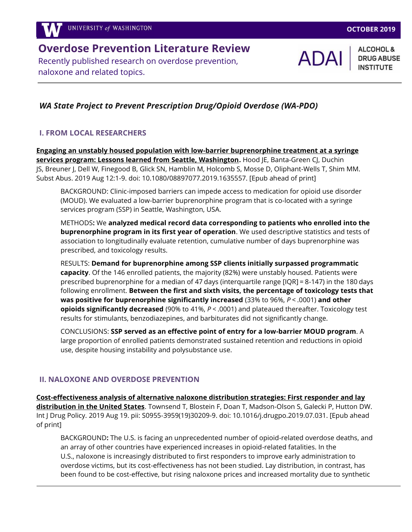

**Overdose Prevention Literature Review** Recently published research on overdose prevention, naloxone and related topics.

ALCOHOL & **DRUG ABUSE** 

## *WA State Project to Prevent Prescription Drug/Opioid Overdose (WA-PDO)*

## **I. FROM LOCAL RESEARCHERS**

**Engaging an unstably housed population with low-barrier buprenorphine treatment at a syringe services program: Lessons learned from Seattle, Washington.** [Hood JE,](https://www.ncbi.nlm.nih.gov/pubmed/?term=Hood%20JE%5BAuthor%5D&cauthor=true&cauthor_uid=31403907) [Banta-Green CJ,](https://www.ncbi.nlm.nih.gov/pubmed/?term=Banta-Green%20CJ%5BAuthor%5D&cauthor=true&cauthor_uid=31403907) [Duchin](https://www.ncbi.nlm.nih.gov/pubmed/?term=Duchin%20JS%5BAuthor%5D&cauthor=true&cauthor_uid=31403907)  [JS,](https://www.ncbi.nlm.nih.gov/pubmed/?term=Duchin%20JS%5BAuthor%5D&cauthor=true&cauthor_uid=31403907) [Breuner J,](https://www.ncbi.nlm.nih.gov/pubmed/?term=Breuner%20J%5BAuthor%5D&cauthor=true&cauthor_uid=31403907) [Dell W,](https://www.ncbi.nlm.nih.gov/pubmed/?term=Dell%20W%5BAuthor%5D&cauthor=true&cauthor_uid=31403907) [Finegood B,](https://www.ncbi.nlm.nih.gov/pubmed/?term=Finegood%20B%5BAuthor%5D&cauthor=true&cauthor_uid=31403907) [Glick SN,](https://www.ncbi.nlm.nih.gov/pubmed/?term=Glick%20SN%5BAuthor%5D&cauthor=true&cauthor_uid=31403907) [Hamblin M,](https://www.ncbi.nlm.nih.gov/pubmed/?term=Hamblin%20M%5BAuthor%5D&cauthor=true&cauthor_uid=31403907) [Holcomb S,](https://www.ncbi.nlm.nih.gov/pubmed/?term=Holcomb%20S%5BAuthor%5D&cauthor=true&cauthor_uid=31403907) [Mosse D,](https://www.ncbi.nlm.nih.gov/pubmed/?term=Mosse%20D%5BAuthor%5D&cauthor=true&cauthor_uid=31403907) [Oliphant-Wells T,](https://www.ncbi.nlm.nih.gov/pubmed/?term=Oliphant-Wells%20T%5BAuthor%5D&cauthor=true&cauthor_uid=31403907) [Shim MM.](https://www.ncbi.nlm.nih.gov/pubmed/?term=Shim%20MM%5BAuthor%5D&cauthor=true&cauthor_uid=31403907) [Subst Abus.](https://www.ncbi.nlm.nih.gov/pubmed/31403907) 2019 Aug 12:1-9. doi: 10.1080/08897077.2019.1635557. [Epub ahead of print]

BACKGROUND: Clinic-imposed barriers can impede access to medication for opioid use disorder (MOUD). We evaluated a low-barrier buprenorphine program that is co-located with a syringe services program (SSP) in Seattle, Washington, USA.

METHODS**:** We **analyzed medical record data corresponding to patients who enrolled into the buprenorphine program in its first year of operation**. We used descriptive statistics and tests of association to longitudinally evaluate retention, cumulative number of days buprenorphine was prescribed, and toxicology results.

RESULTS: **Demand for buprenorphine among SSP clients initially surpassed programmatic capacity**. Of the 146 enrolled patients, the majority (82%) were unstably housed. Patients were prescribed buprenorphine for a median of 47 days (interquartile range [IQR] = 8-147) in the 180 days following enrollment. **Between the first and sixth visits, the percentage of toxicology tests that was positive for buprenorphine significantly increased** (33% to 96%, *P* < .0001) **and other opioids significantly decreased** (90% to 41%, *P <* .0001) and plateaued thereafter. Toxicology test results for stimulants, benzodiazepines, and barbiturates did not significantly change.

CONCLUSIONS: **SSP served as an effective point of entry for a low-barrier MOUD program**. A large proportion of enrolled patients demonstrated sustained retention and reductions in opioid use, despite housing instability and polysubstance use.

## **II. NALOXONE AND OVERDOSE PREVENTION**

**Cost-effectiveness analysis of alternative naloxone distribution strategies: First responder and lay distribution in the United States**. [Townsend T,](https://www.ncbi.nlm.nih.gov/pubmed/?term=Townsend%20T%5BAuthor%5D&cauthor=true&cauthor_uid=31439388) [Blostein F,](https://www.ncbi.nlm.nih.gov/pubmed/?term=Blostein%20F%5BAuthor%5D&cauthor=true&cauthor_uid=31439388) [Doan T,](https://www.ncbi.nlm.nih.gov/pubmed/?term=Doan%20T%5BAuthor%5D&cauthor=true&cauthor_uid=31439388) [Madson-Olson S,](https://www.ncbi.nlm.nih.gov/pubmed/?term=Madson-Olson%20S%5BAuthor%5D&cauthor=true&cauthor_uid=31439388) [Galecki P,](https://www.ncbi.nlm.nih.gov/pubmed/?term=Galecki%20P%5BAuthor%5D&cauthor=true&cauthor_uid=31439388) [Hutton DW.](https://www.ncbi.nlm.nih.gov/pubmed/?term=Hutton%20DW%5BAuthor%5D&cauthor=true&cauthor_uid=31439388) [Int J Drug Policy.](https://www.ncbi.nlm.nih.gov/pubmed/31439388) 2019 Aug 19. pii: S0955-3959(19)30209-9. doi: 10.1016/j.drugpo.2019.07.031. [Epub ahead of print]

BACKGROUND**:** The U.S. is facing an unprecedented number of opioid-related overdose deaths, and an array of other countries have experienced increases in opioid-related fatalities. In the U.S., naloxone is increasingly distributed to first responders to improve early administration to overdose victims, but its cost-effectiveness has not been studied. Lay distribution, in contrast, has been found to be cost-effective, but rising naloxone prices and increased mortality due to synthetic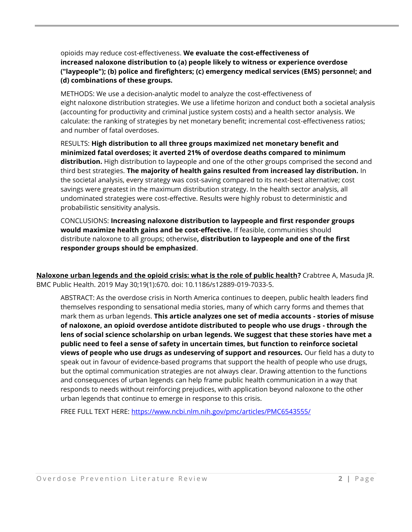opioids may reduce cost-effectiveness. **We evaluate the cost-effectiveness of increased naloxone distribution to (a) people likely to witness or experience overdose ("laypeople"); (b) police and firefighters; (c) emergency medical services (EMS) personnel; and (d) combinations of these groups.**

METHODS: We use a decision-analytic model to analyze the cost-effectiveness of eight naloxone distribution strategies. We use a lifetime horizon and conduct both a societal analysis (accounting for productivity and criminal justice system costs) and a health sector analysis. We calculate: the ranking of strategies by net monetary benefit; incremental cost-effectiveness ratios; and number of fatal overdoses.

RESULTS: **High distribution to all three groups maximized net monetary benefit and minimized fatal overdoses; it averted 21% of overdose deaths compared to minimum distribution.** High distribution to laypeople and one of the other groups comprised the second and third best strategies. **The majority of health gains resulted from increased lay distribution.** In the societal analysis, every strategy was cost-saving compared to its next-best alternative; cost savings were greatest in the maximum distribution strategy. In the health sector analysis, all undominated strategies were cost-effective. Results were highly robust to deterministic and probabilistic sensitivity analysis.

CONCLUSIONS: **Increasing naloxone distribution to laypeople and first responder groups would maximize health gains and be cost-effective.** If feasible, communities should distribute naloxone to all groups; otherwise**, distribution to laypeople and one of the first responder groups should be emphasized**.

**Naloxone urban legends and the opioid crisis: what is the role of public health?** [Crabtree A,](https://www.ncbi.nlm.nih.gov/pubmed/?term=Crabtree%20A%5BAuthor%5D&cauthor=true&cauthor_uid=31146721) [Masuda JR.](https://www.ncbi.nlm.nih.gov/pubmed/?term=Masuda%20JR%5BAuthor%5D&cauthor=true&cauthor_uid=31146721) [BMC Public Health.](https://www.ncbi.nlm.nih.gov/pubmed/31146721) 2019 May 30;19(1):670. doi: 10.1186/s12889-019-7033-5.

ABSTRACT: As the overdose crisis in North America continues to deepen, public health leaders find themselves responding to sensational media stories, many of which carry forms and themes that mark them as urban legends. **This article analyzes one set of media accounts - stories of misuse of naloxone, an opioid overdose antidote distributed to people who use drugs - through the lens of social science scholarship on urban legends. We suggest that these stories have met a public need to feel a sense of safety in uncertain times, but function to reinforce societal views of people who use drugs as undeserving of support and resources.** Our field has a duty to speak out in favour of evidence-based programs that support the health of people who use drugs, but the optimal communication strategies are not always clear. Drawing attention to the functions and consequences of urban legends can help frame public health communication in a way that responds to needs without reinforcing prejudices, with application beyond naloxone to the other urban legends that continue to emerge in response to this crisis.

FREE FULL TEXT HERE:<https://www.ncbi.nlm.nih.gov/pmc/articles/PMC6543555/>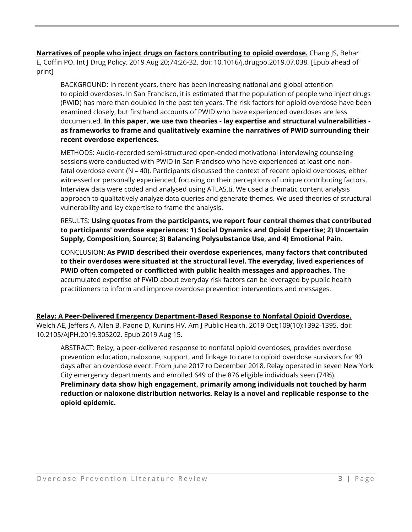**Narratives of people who inject drugs on factors contributing to opioid overdose.** Chang JS, Behar E, Coffin PO. Int J Drug Policy. 2019 Aug 20;74:26-32. doi: 10.1016/j.drugpo.2019.07.038. [Epub ahead of print]

BACKGROUND: In recent years, there has been increasing national and global attention to opioid overdoses. In San Francisco, it is estimated that the population of people who inject drugs (PWID) has more than doubled in the past ten years. The risk factors for opioid overdose have been examined closely, but firsthand accounts of PWID who have experienced overdoses are less documented. **In this paper, we use two theories - lay expertise and structural vulnerabilities as frameworks to frame and qualitatively examine the narratives of PWID surrounding their recent overdose experiences.**

METHODS: Audio-recorded semi-structured open-ended motivational interviewing counseling sessions were conducted with PWID in San Francisco who have experienced at least one nonfatal overdose event (N = 40). Participants discussed the context of recent opioid overdoses, either witnessed or personally experienced, focusing on their perceptions of unique contributing factors. Interview data were coded and analysed using ATLAS.ti. We used a thematic content analysis approach to qualitatively analyze data queries and generate themes. We used theories of structural vulnerability and lay expertise to frame the analysis.

RESULTS: **Using quotes from the participants, we report four central themes that contributed to participants' overdose experiences: 1) Social Dynamics and Opioid Expertise; 2) Uncertain Supply, Composition, Source; 3) Balancing Polysubstance Use, and 4) Emotional Pain.**

CONCLUSION: **As PWID described their overdose experiences, many factors that contributed to their overdoses were situated at the structural level. The everyday, lived experiences of PWID often competed or conflicted with public health messages and approaches.** The accumulated expertise of PWID about everyday risk factors can be leveraged by public health practitioners to inform and improve overdose prevention interventions and messages.

**Relay: A Peer-Delivered Emergency Department-Based Response to Nonfatal Opioid Overdose.** [Welch AE,](https://www.ncbi.nlm.nih.gov/pubmed/?term=Welch%20AE%5BAuthor%5D&cauthor=true&cauthor_uid=31415200) [Jeffers A,](https://www.ncbi.nlm.nih.gov/pubmed/?term=Jeffers%20A%5BAuthor%5D&cauthor=true&cauthor_uid=31415200) [Allen B,](https://www.ncbi.nlm.nih.gov/pubmed/?term=Allen%20B%5BAuthor%5D&cauthor=true&cauthor_uid=31415200) [Paone D,](https://www.ncbi.nlm.nih.gov/pubmed/?term=Paone%20D%5BAuthor%5D&cauthor=true&cauthor_uid=31415200) [Kunins HV.](https://www.ncbi.nlm.nih.gov/pubmed/?term=Kunins%20HV%5BAuthor%5D&cauthor=true&cauthor_uid=31415200) [Am J Public Health.](https://www.ncbi.nlm.nih.gov/pubmed/31415200) 2019 Oct;109(10):1392-1395. doi: 10.2105/AJPH.2019.305202. Epub 2019 Aug 15.

ABSTRACT: Relay, a peer-delivered response to nonfatal opioid overdoses, provides overdose prevention education, naloxone, support, and linkage to care to opioid overdose survivors for 90 days after an overdose event. From June 2017 to December 2018, Relay operated in seven New York City emergency departments and enrolled 649 of the 876 eligible individuals seen (74%). **Preliminary data show high engagement, primarily among individuals not touched by harm reduction or naloxone distribution networks. Relay is a novel and replicable response to the opioid epidemic.**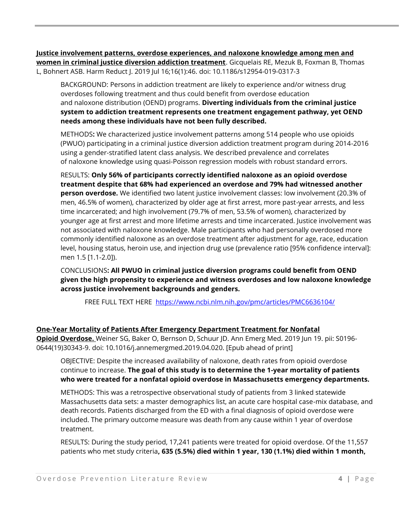**Justice involvement patterns, overdose experiences, and naloxone knowledge among men and women in criminal justice diversion addiction treatment**. [Gicquelais RE,](https://www.ncbi.nlm.nih.gov/pubmed/?term=Gicquelais%20RE%5BAuthor%5D&cauthor=true&cauthor_uid=31311572) [Mezuk](https://www.ncbi.nlm.nih.gov/pubmed/?term=Mezuk%20B%5BAuthor%5D&cauthor=true&cauthor_uid=31311572) B, [Foxman B,](https://www.ncbi.nlm.nih.gov/pubmed/?term=Foxman%20B%5BAuthor%5D&cauthor=true&cauthor_uid=31311572) [Thomas](https://www.ncbi.nlm.nih.gov/pubmed/?term=Thomas%20L%5BAuthor%5D&cauthor=true&cauthor_uid=31311572)  [L,](https://www.ncbi.nlm.nih.gov/pubmed/?term=Thomas%20L%5BAuthor%5D&cauthor=true&cauthor_uid=31311572) [Bohnert ASB.](https://www.ncbi.nlm.nih.gov/pubmed/?term=Bohnert%20ASB%5BAuthor%5D&cauthor=true&cauthor_uid=31311572) [Harm Reduct J.](https://www.ncbi.nlm.nih.gov/pubmed/31311572) 2019 Jul 16;16(1):46. doi: 10.1186/s12954-019-0317-3

BACKGROUND: Persons in addiction treatment are likely to experience and/or witness drug overdoses following treatment and thus could benefit from overdose education and naloxone distribution (OEND) programs. **Diverting individuals from the criminal justice system to addiction treatment represents one treatment engagement pathway, yet OEND needs among these individuals have not been fully described.**

METHODS**:** We characterized justice involvement patterns among 514 people who use opioids (PWUO) participating in a criminal justice diversion addiction treatment program during 2014-2016 using a gender-stratified latent class analysis. We described prevalence and correlates of naloxone knowledge using quasi-Poisson regression models with robust standard errors.

RESULTS: **Only 56% of participants correctly identified naloxone as an opioid overdose treatment despite that 68% had experienced an overdose and 79% had witnessed another person overdose.** We identified two latent justice involvement classes: low involvement (20.3% of men, 46.5% of women), characterized by older age at first arrest, more past-year arrests, and less time incarcerated; and high involvement (79.7% of men, 53.5% of women), characterized by younger age at first arrest and more lifetime arrests and time incarcerated. Justice involvement was not associated with naloxone knowledge. Male participants who had personally overdosed more commonly identified naloxone as an overdose treatment after adjustment for age, race, education level, housing status, heroin use, and injection drug use (prevalence ratio [95% confidence interval]: men 1.5 [1.1-2.0]).

CONCLUSIONS**: All PWUO in criminal justice diversion programs could benefit from OEND given the high propensity to experience and witness overdoses and low naloxone knowledge across justice involvement backgrounds and genders.**

FREE FULL TEXT HERE <https://www.ncbi.nlm.nih.gov/pmc/articles/PMC6636104/>

**One-Year Mortality of Patients After Emergency Department Treatment for Nonfatal Opioid Overdose.** [Weiner SG,](https://www.ncbi.nlm.nih.gov/pubmed/?term=Weiner%20SG%5BAuthor%5D&cauthor=true&cauthor_uid=31229387) [Baker O,](https://www.ncbi.nlm.nih.gov/pubmed/?term=Baker%20O%5BAuthor%5D&cauthor=true&cauthor_uid=31229387) [Bernson D,](https://www.ncbi.nlm.nih.gov/pubmed/?term=Bernson%20D%5BAuthor%5D&cauthor=true&cauthor_uid=31229387) [Schuur JD.](https://www.ncbi.nlm.nih.gov/pubmed/?term=Schuur%20JD%5BAuthor%5D&cauthor=true&cauthor_uid=31229387) [Ann Emerg Med.](https://www.ncbi.nlm.nih.gov/pubmed/31229387) 2019 Jun 19. pii: S0196- 0644(19)30343-9. doi: 10.1016/j.annemergmed.2019.04.020. [Epub ahead of print]

OBJECTIVE: Despite the increased availability of naloxone, death rates from opioid overdose continue to increase. **The goal of this study is to determine the 1-year mortality of patients who were treated for a nonfatal opioid overdose in Massachusetts emergency departments.**

METHODS: This was a retrospective observational study of patients from 3 linked statewide Massachusetts data sets: a master demographics list, an acute care hospital case-mix database, and death records. Patients discharged from the ED with a final diagnosis of opioid overdose were included. The primary outcome measure was death from any cause within 1 year of overdose treatment.

RESULTS: During the study period, 17,241 patients were treated for opioid overdose. Of the 11,557 patients who met study criteria**, 635 (5.5%) died within 1 year, 130 (1.1%) died within 1 month,**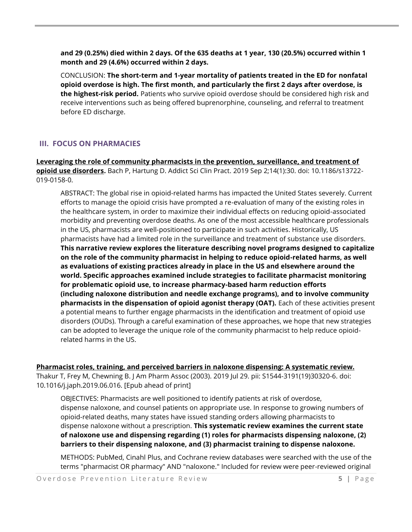**and 29 (0.25%) died within 2 days. Of the 635 deaths at 1 year, 130 (20.5%) occurred within 1 month and 29 (4.6%) occurred within 2 days.**

CONCLUSION: **The short-term and 1-year mortality of patients treated in the ED for nonfatal opioid overdose is high. The first month, and particularly the first 2 days after overdose, is the highest-risk period.** Patients who survive opioid overdose should be considered high risk and receive interventions such as being offered buprenorphine, counseling, and referral to treatment before ED discharge.

## **III. FOCUS ON PHARMACIES**

**Leveraging the role of community pharmacists in the prevention, surveillance, and treatment of opioid use disorders.** [Bach P,](https://www.ncbi.nlm.nih.gov/pubmed/?term=Bach%20P%5BAuthor%5D&cauthor=true&cauthor_uid=31474225) [Hartung D.](https://www.ncbi.nlm.nih.gov/pubmed/?term=Hartung%20D%5BAuthor%5D&cauthor=true&cauthor_uid=31474225) [Addict Sci Clin Pract.](https://www.ncbi.nlm.nih.gov/pubmed/31474225) 2019 Sep 2;14(1):30. doi: 10.1186/s13722- 019-0158-0.

ABSTRACT: The global rise in opioid-related harms has impacted the United States severely. Current efforts to manage the opioid crisis have prompted a re-evaluation of many of the existing roles in the healthcare system, in order to maximize their individual effects on reducing opioid-associated morbidity and preventing overdose deaths. As one of the most accessible healthcare professionals in the US, pharmacists are well-positioned to participate in such activities. Historically, US pharmacists have had a limited role in the surveillance and treatment of substance use disorders. **This narrative review explores the literature describing novel programs designed to capitalize on the role of the community pharmacist in helping to reduce opioid-related harms, as well as evaluations of existing practices already in place in the US and elsewhere around the world. Specific approaches examined include strategies to facilitate pharmacist monitoring for problematic opioid use, to increase pharmacy-based harm reduction efforts (including naloxone distribution and needle exchange programs), and to involve community pharmacists in the dispensation of opioid agonist therapy (OAT).** Each of these activities present a potential means to further engage pharmacists in the identification and treatment of opioid use disorders (OUDs). Through a careful examination of these approaches, we hope that new strategies can be adopted to leverage the unique role of the community pharmacist to help reduce opioidrelated harms in the US.

**Pharmacist roles, training, and perceived barriers in naloxone dispensing: A systematic review.** [Thakur T,](https://www.ncbi.nlm.nih.gov/pubmed/?term=Thakur%20T%5BAuthor%5D&cauthor=true&cauthor_uid=31371179) [Frey M,](https://www.ncbi.nlm.nih.gov/pubmed/?term=Frey%20M%5BAuthor%5D&cauthor=true&cauthor_uid=31371179) [Chewning B.](https://www.ncbi.nlm.nih.gov/pubmed/?term=Chewning%20B%5BAuthor%5D&cauthor=true&cauthor_uid=31371179) [J Am Pharm Assoc \(2003\).](https://www.ncbi.nlm.nih.gov/pubmed/31371179) 2019 Jul 29. pii: S1544-3191(19)30320-6. doi: 10.1016/j.japh.2019.06.016. [Epub ahead of print]

OBJECTIVES: Pharmacists are well positioned to identify patients at risk of overdose, dispense naloxone, and counsel patients on appropriate use. In response to growing numbers of opioid-related deaths, many states have issued standing orders allowing pharmacists to dispense naloxone without a prescription. **This systematic review examines the current state of naloxone use and dispensing regarding (1) roles for pharmacists dispensing naloxone, (2) barriers to their dispensing naloxone, and (3) pharmacist training to dispense naloxone.**

METHODS: PubMed, Cinahl Plus, and Cochrane review databases were searched with the use of the terms "pharmacist OR pharmacy" AND "naloxone." Included for review were peer-reviewed original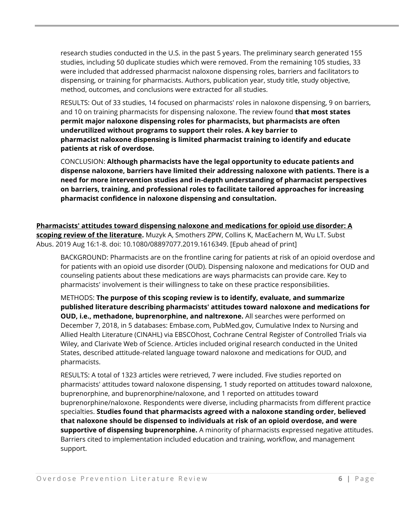research studies conducted in the U.S. in the past 5 years. The preliminary search generated 155 studies, including 50 duplicate studies which were removed. From the remaining 105 studies, 33 were included that addressed pharmacist naloxone dispensing roles, barriers and facilitators to dispensing, or training for pharmacists. Authors, publication year, study title, study objective, method, outcomes, and conclusions were extracted for all studies.

RESULTS: Out of 33 studies, 14 focused on pharmacists' roles in naloxone dispensing, 9 on barriers, and 10 on training pharmacists for dispensing naloxone. The review found **that most states permit major naloxone dispensing roles for pharmacists, but pharmacists are often underutilized without programs to support their roles. A key barrier to pharmacist naloxone dispensing is limited pharmacist training to identify and educate patients at risk of overdose.**

CONCLUSION: **Although pharmacists have the legal opportunity to educate patients and dispense naloxone, barriers have limited their addressing naloxone with patients. There is a need for more intervention studies and in-depth understanding of pharmacist perspectives on barriers, training, and professional roles to facilitate tailored approaches for increasing pharmacist confidence in naloxone dispensing and consultation.**

**Pharmacists' attitudes toward dispensing naloxone and medications for opioid use disorder: A scoping review of the literature.** [Muzyk A,](https://www.ncbi.nlm.nih.gov/pubmed/?term=Muzyk%20A%5BAuthor%5D&cauthor=true&cauthor_uid=31418645) [Smothers ZPW,](https://www.ncbi.nlm.nih.gov/pubmed/?term=Smothers%20ZPW%5BAuthor%5D&cauthor=true&cauthor_uid=31418645) [Collins K,](https://www.ncbi.nlm.nih.gov/pubmed/?term=Collins%20K%5BAuthor%5D&cauthor=true&cauthor_uid=31418645) [MacEachern M,](https://www.ncbi.nlm.nih.gov/pubmed/?term=MacEachern%20M%5BAuthor%5D&cauthor=true&cauthor_uid=31418645) [Wu LT.](https://www.ncbi.nlm.nih.gov/pubmed/?term=Wu%20LT%5BAuthor%5D&cauthor=true&cauthor_uid=31418645) [Subst](https://www.ncbi.nlm.nih.gov/pubmed/31418645)  [Abus.](https://www.ncbi.nlm.nih.gov/pubmed/31418645) 2019 Aug 16:1-8. doi: 10.1080/08897077.2019.1616349. [Epub ahead of print]

BACKGROUND: Pharmacists are on the frontline caring for patients at risk of an opioid overdose and for patients with an opioid use disorder (OUD). Dispensing naloxone and medications for OUD and counseling patients about these medications are ways pharmacists can provide care. Key to pharmacists' involvement is their willingness to take on these practice responsibilities.

METHODS: **The purpose of this scoping review is to identify, evaluate, and summarize published literature describing pharmacists' attitudes toward naloxone and medications for OUD, i.e., methadone, buprenorphine, and naltrexone.** All searches were performed on December 7, 2018, in 5 databases: Embase.com, PubMed.gov, Cumulative Index to Nursing and Allied Health Literature (CINAHL) via EBSCOhost, Cochrane Central Register of Controlled Trials via Wiley, and Clarivate Web of Science. Articles included original research conducted in the United States, described attitude-related language toward naloxone and medications for OUD, and pharmacists.

RESULTS: A total of 1323 articles were retrieved, 7 were included. Five studies reported on pharmacists' attitudes toward naloxone dispensing, 1 study reported on attitudes toward naloxone, buprenorphine, and buprenorphine/naloxone, and 1 reported on attitudes toward buprenorphine/naloxone. Respondents were diverse, including pharmacists from different practice specialties. **Studies found that pharmacists agreed with a naloxone standing order, believed that naloxone should be dispensed to individuals at risk of an opioid overdose, and were supportive of dispensing buprenorphine.** A minority of pharmacists expressed negative attitudes. Barriers cited to implementation included education and training, workflow, and management support.